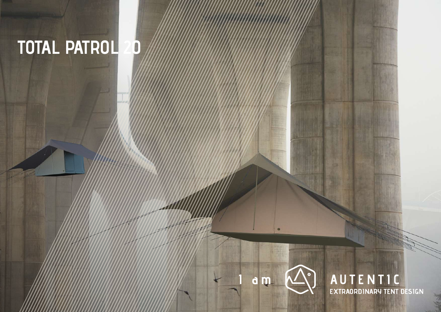# **TOTAL PATROL 20**



**AUTENTIC**<br>EXTRAORDINARY TENT DESIGN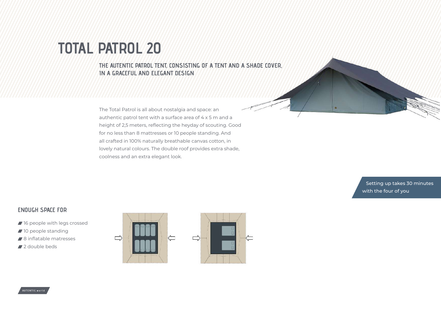### **TOTAL PATROL 20**

**THE AUTENTIC PATROL TENT, CONSISTING OF A TENT AND A SHADE COVER, IN A GRACEFUL AND FLEGANT DESIGN** 

The Total Patrol is all about nostalgia and space: an authentic patrol tent with a surface area of 4 x 5 m and a height of 2,5 meters, reflecting the heyday of scouting. Good for no less than 8 mattresses or 10 people standing. And all crafted in 100% naturally breathable canvas cotton, in lovely natural colours. The double roof provides extra shade, coolness and an extra elegant look.

> Setting up takes 30 minutes with the four of you

### **ENOUGH SPACE FOR**

- 16 people with legs crossed
- 10 people standing
- 8 inflatable matresses
- 2 double beds



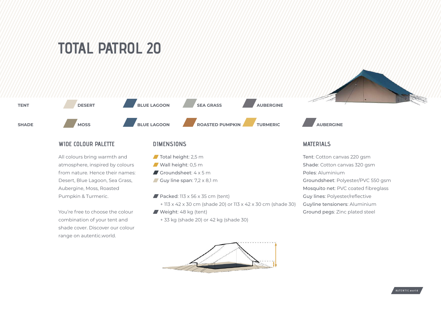## **TOTAL PATROL 20**



#### **WIDE COLOUR PALETTE**

All colours bring warmth and atmosphere, inspired by colours from nature. Hence their names: Desert, Blue Lagoon, Sea Grass, Aubergine, Moss, Roasted Pumpkin & Turmeric.

You're free to choose the colour combination of your tent and shade cover. Discover our colour range on autentic.world.

#### **DIMENSIONS**

- $\blacksquare$  Total height: 2,5 m
- Wall height: 0,5 m
- Groundsheet: 4 x 5 m
- Guy line span:  $7.2 \times 8.1 \text{ m}$
- Packed:  $113 \times 56 \times 35$  cm (tent)
	- + 113 x 42 x 30 cm (shade 20) or 113 x 42 x 30 cm (shade 30)
- Weight: 48 kg (tent)
	- + 33 kg (shade 20) or 42 kg (shade 30)



#### **MATERIALS**

Tent: Cotton canvas 220 gsm Shade: Cotton canvas 320 gsm Poles: Aluminium Groundsheet: Polyester/PVC 550 gsm Mosquito net: PVC coated fibreglass Guy lines: Polyester/reflective Guyline tensioners: Aluminium Ground pegs: Zinc plated steel